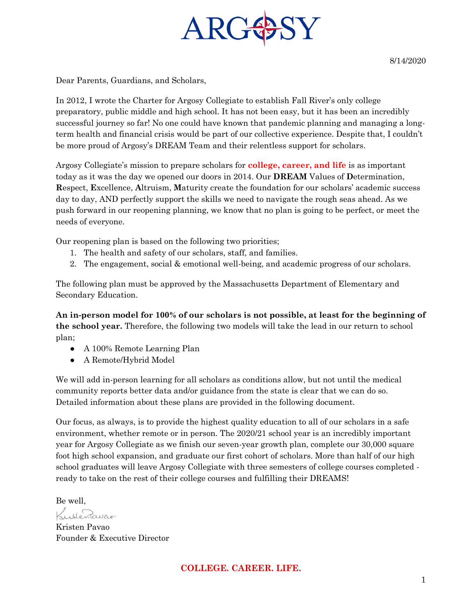

Dear Parents, Guardians, and Scholars,

In 2012, I wrote the Charter for Argosy Collegiate to establish Fall River's only college preparatory, public middle and high school. It has not been easy, but it has been an incredibly successful journey so far! No one could have known that pandemic planning and managing a longterm health and financial crisis would be part of our collective experience. Despite that, I couldn't be more proud of Argosy's DREAM Team and their relentless support for scholars.

Argosy Collegiate's mission to prepare scholars for **college, career, and life** is as important today as it was the day we opened our doors in 2014. Our **DREAM** Values of **D**etermination, **R**espect, **E**xcellence, **A**ltruism, **M**aturity create the foundation for our scholars' academic success day to day, AND perfectly support the skills we need to navigate the rough seas ahead. As we push forward in our reopening planning, we know that no plan is going to be perfect, or meet the needs of everyone.

Our reopening plan is based on the following two priorities;

- 1. The health and safety of our scholars, staff, and families.
- 2. The engagement, social & emotional well-being, and academic progress of our scholars.

The following plan must be approved by the Massachusetts Department of Elementary and Secondary Education.

**An in-person model for 100% of our scholars is not possible, at least for the beginning of the school year.** Therefore, the following two models will take the lead in our return to school plan;

- A 100% Remote Learning Plan
- A Remote/Hybrid Model

We will add in-person learning for all scholars as conditions allow, but not until the medical community reports better data and/or guidance from the state is clear that we can do so. Detailed information about these plans are provided in the following document.

Our focus, as always, is to provide the highest quality education to all of our scholars in a safe environment, whether remote or in person. The 2020/21 school year is an incredibly important year for Argosy Collegiate as we finish our seven-year growth plan, complete our 30,000 square foot high school expansion, and graduate our first cohort of scholars. More than half of our high school graduates will leave Argosy Collegiate with three semesters of college courses completed ready to take on the rest of their college courses and fulfilling their DREAMS!

Be well,

Kustendwao

Kristen Pavao Founder & Executive Director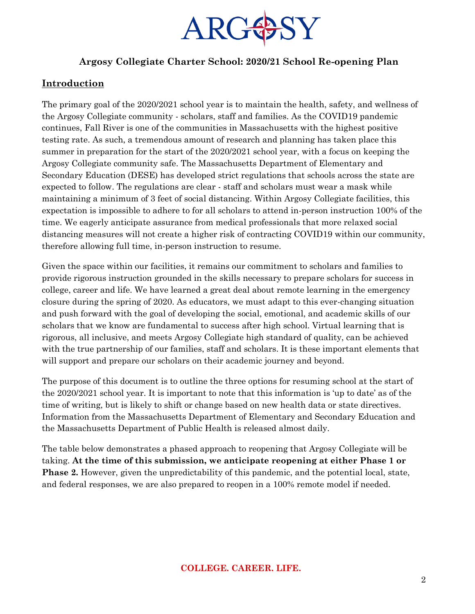

# **Argosy Collegiate Charter School: 2020/21 School Re-opening Plan**

# **Introduction**

The primary goal of the 2020/2021 school year is to maintain the health, safety, and wellness of the Argosy Collegiate community - scholars, staff and families. As the COVID19 pandemic continues, Fall River is one of the communities in Massachusetts with the highest positive testing rate. As such, a tremendous amount of research and planning has taken place this summer in preparation for the start of the 2020/2021 school year, with a focus on keeping the Argosy Collegiate community safe. The Massachusetts Department of Elementary and Secondary Education (DESE) has developed strict regulations that schools across the state are expected to follow. The regulations are clear - staff and scholars must wear a mask while maintaining a minimum of 3 feet of social distancing. Within Argosy Collegiate facilities, this expectation is impossible to adhere to for all scholars to attend in-person instruction 100% of the time. We eagerly anticipate assurance from medical professionals that more relaxed social distancing measures will not create a higher risk of contracting COVID19 within our community, therefore allowing full time, in-person instruction to resume.

Given the space within our facilities, it remains our commitment to scholars and families to provide rigorous instruction grounded in the skills necessary to prepare scholars for success in college, career and life. We have learned a great deal about remote learning in the emergency closure during the spring of 2020. As educators, we must adapt to this ever-changing situation and push forward with the goal of developing the social, emotional, and academic skills of our scholars that we know are fundamental to success after high school. Virtual learning that is rigorous, all inclusive, and meets Argosy Collegiate high standard of quality, can be achieved with the true partnership of our families, staff and scholars. It is these important elements that will support and prepare our scholars on their academic journey and beyond.

The purpose of this document is to outline the three options for resuming school at the start of the 2020/2021 school year. It is important to note that this information is 'up to date' as of the time of writing, but is likely to shift or change based on new health data or state directives. Information from the Massachusetts Department of Elementary and Secondary Education and the Massachusetts Department of Public Health is released almost daily.

The table below demonstrates a phased approach to reopening that Argosy Collegiate will be taking. **At the time of this submission, we anticipate reopening at either Phase 1 or Phase 2.** However, given the unpredictability of this pandemic, and the potential local, state, and federal responses, we are also prepared to reopen in a 100% remote model if needed.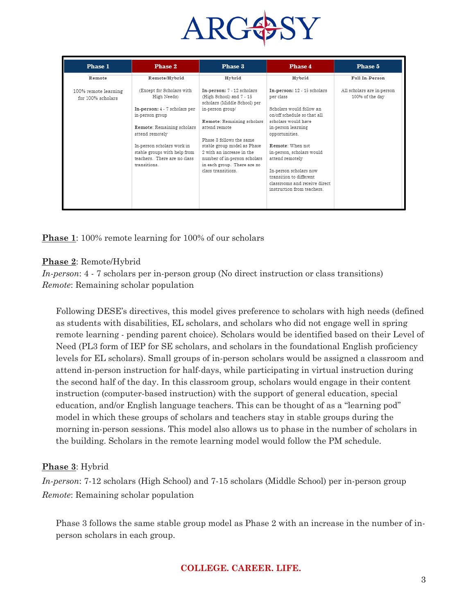

| Phase 1                                   | Phase 2                                                                                                    | Phase 3                                                                                                                 | Phase 4                                                                                                           | Phase 5                                       |
|-------------------------------------------|------------------------------------------------------------------------------------------------------------|-------------------------------------------------------------------------------------------------------------------------|-------------------------------------------------------------------------------------------------------------------|-----------------------------------------------|
| Remote                                    | Remote/Hybrid                                                                                              | Hybrid                                                                                                                  | Hybrid                                                                                                            | Full In-Person                                |
| 100% remote learning<br>for 100% scholars | (Except for Scholars with<br>High Needs)<br>In-person: 4 - 7 scholars per                                  | In-person: 7 - 12 scholars<br>(High School) and 7 - 15<br>scholars (Middle School) per<br>in-person group/              | In-person: 12 - 15 scholars<br>per class<br>Scholars would follow an                                              | All scholars are in-person<br>100% of the day |
|                                           | in-person group<br>Remote: Remaining scholars<br>attend remotely                                           | Remote: Remaining scholars<br>attend remote<br>Phase 3 follows the same                                                 | on/off schedule so that all<br>scholars would have<br>in-person learning<br>opportunities.                        |                                               |
|                                           | In-person scholars work in<br>stable groups with help from<br>teachers. There are no class<br>transitions. | stable group model as Phase<br>2 with an increase in the<br>number of in-person scholars<br>in each group. There are no | Remote: When not<br>in-person, scholars would<br>attend remotely                                                  |                                               |
|                                           |                                                                                                            | class transitions.                                                                                                      | In-person scholars now<br>transition to different<br>classrooms and receive direct.<br>instruction from teachers. |                                               |
|                                           |                                                                                                            |                                                                                                                         |                                                                                                                   |                                               |

**Phase 1**: 100% remote learning for 100% of our scholars

#### **Phase 2**: Remote/Hybrid

*In-person*: 4 - 7 scholars per in-person group (No direct instruction or class transitions) *Remote*: Remaining scholar population

Following DESE's directives, this model gives preference to scholars with high needs (defined as students with disabilities, EL scholars, and scholars who did not engage well in spring remote learning - pending parent choice). Scholars would be identified based on their Level of Need (PL3 form of IEP for SE scholars, and scholars in the foundational English proficiency levels for EL scholars). Small groups of in-person scholars would be assigned a classroom and attend in-person instruction for half-days, while participating in virtual instruction during the second half of the day. In this classroom group, scholars would engage in their content instruction (computer-based instruction) with the support of general education, special education, and/or English language teachers. This can be thought of as a "learning pod" model in which these groups of scholars and teachers stay in stable groups during the morning in-person sessions. This model also allows us to phase in the number of scholars in the building. Scholars in the remote learning model would follow the PM schedule.

#### **Phase 3**: Hybrid

*In-person*: 7-12 scholars (High School) and 7-15 scholars (Middle School) per in-person group *Remote*: Remaining scholar population

Phase 3 follows the same stable group model as Phase 2 with an increase in the number of inperson scholars in each group.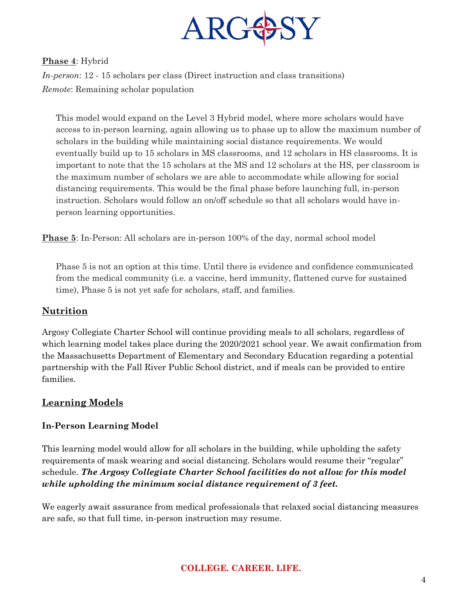

### **Phase 4**: Hybrid

*In-person*: 12 - 15 scholars per class (Direct instruction and class transitions) *Remote*: Remaining scholar population

This model would expand on the Level 3 Hybrid model, where more scholars would have access to in-person learning, again allowing us to phase up to allow the maximum number of scholars in the building while maintaining social distance requirements. We would eventually build up to 15 scholars in MS classrooms, and 12 scholars in HS classrooms. It is important to note that the 15 scholars at the MS and 12 scholars at the HS, per classroom is the maximum number of scholars we are able to accommodate while allowing for social distancing requirements. This would be the final phase before launching full, in-person instruction. Scholars would follow an on/off schedule so that all scholars would have inperson learning opportunities.

**Phase 5**: In-Person: All scholars are in-person 100% of the day, normal school model

Phase 5 is not an option at this time. Until there is evidence and confidence communicated from the medical community (i.e. a vaccine, herd immunity, flattened curve for sustained time), Phase 5 is not yet safe for scholars, staff, and families.

## **Nutrition**

Argosy Collegiate Charter School will continue providing meals to all scholars, regardless of which learning model takes place during the  $2020/2021$  school year. We await confirmation from the Massachusetts Department of Elementary and Secondary Education regarding a potential partnership with the Fall River Public School district, and if meals can be provided to entire families.

#### **Learning Models**

#### **In-Person Learning Model**

This learning model would allow for all scholars in the building, while upholding the safety requirements of mask wearing and social distancing. Scholars would resume their "regular" schedule. *The Argosy Collegiate Charter School facilities do not allow for this model while upholding the minimum social distance requirement of 3 feet.* 

We eagerly await assurance from medical professionals that relaxed social distancing measures are safe, so that full time, in-person instruction may resume.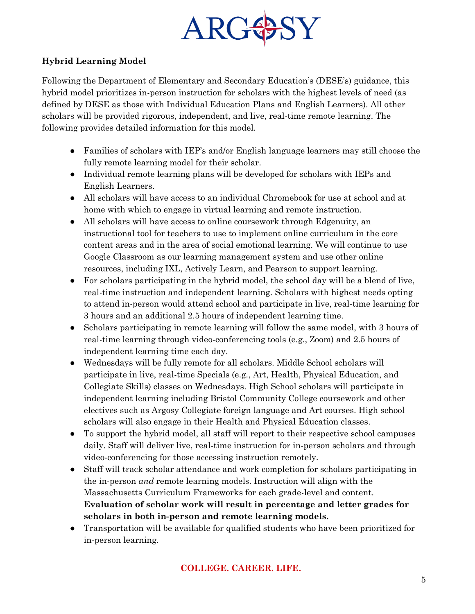

## **Hybrid Learning Model**

Following the Department of Elementary and Secondary Education's (DESE's) guidance, this hybrid model prioritizes in-person instruction for scholars with the highest levels of need (as defined by DESE as those with Individual Education Plans and English Learners). All other scholars will be provided rigorous, independent, and live, real-time remote learning. The following provides detailed information for this model.

- Families of scholars with IEP's and/or English language learners may still choose the fully remote learning model for their scholar.
- Individual remote learning plans will be developed for scholars with IEPs and English Learners.
- All scholars will have access to an individual Chromebook for use at school and at home with which to engage in virtual learning and remote instruction.
- All scholars will have access to online coursework through Edgenuity, an instructional tool for teachers to use to implement online curriculum in the core content areas and in the area of social emotional learning. We will continue to use Google Classroom as our learning management system and use other online resources, including IXL, Actively Learn, and Pearson to support learning.
- For scholars participating in the hybrid model, the school day will be a blend of live, real-time instruction and independent learning. Scholars with highest needs opting to attend in-person would attend school and participate in live, real-time learning for 3 hours and an additional 2.5 hours of independent learning time.
- Scholars participating in remote learning will follow the same model, with 3 hours of real-time learning through video-conferencing tools (e.g., Zoom) and 2.5 hours of independent learning time each day.
- Wednesdays will be fully remote for all scholars. Middle School scholars will participate in live, real-time Specials (e.g., Art, Health, Physical Education, and Collegiate Skills) classes on Wednesdays. High School scholars will participate in independent learning including Bristol Community College coursework and other electives such as Argosy Collegiate foreign language and Art courses. High school scholars will also engage in their Health and Physical Education classes.
- To support the hybrid model, all staff will report to their respective school campuses daily. Staff will deliver live, real-time instruction for in-person scholars and through video-conferencing for those accessing instruction remotely.
- Staff will track scholar attendance and work completion for scholars participating in the in-person *and* remote learning models. Instruction will align with the Massachusetts Curriculum Frameworks for each grade-level and content. **Evaluation of scholar work will result in percentage and letter grades for scholars in both in-person and remote learning models.**
- Transportation will be available for qualified students who have been prioritized for in-person learning.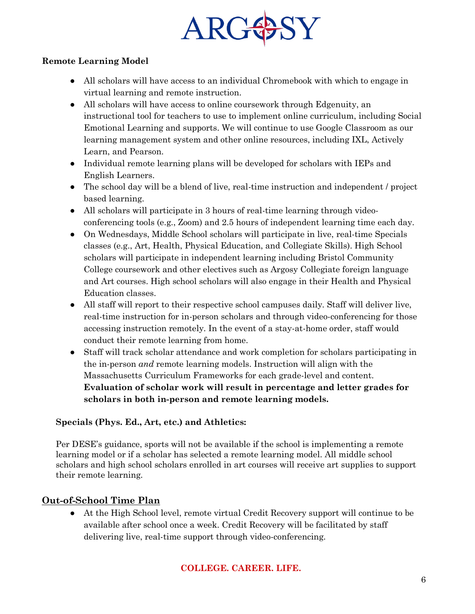

### **Remote Learning Model**

- All scholars will have access to an individual Chromebook with which to engage in virtual learning and remote instruction.
- All scholars will have access to online coursework through Edgenuity, an instructional tool for teachers to use to implement online curriculum, including Social Emotional Learning and supports. We will continue to use Google Classroom as our learning management system and other online resources, including IXL, Actively Learn, and Pearson.
- Individual remote learning plans will be developed for scholars with IEPs and English Learners.
- The school day will be a blend of live, real-time instruction and independent / project based learning.
- All scholars will participate in 3 hours of real-time learning through videoconferencing tools (e.g., Zoom) and 2.5 hours of independent learning time each day.
- On Wednesdays, Middle School scholars will participate in live, real-time Specials classes (e.g., Art, Health, Physical Education, and Collegiate Skills). High School scholars will participate in independent learning including Bristol Community College coursework and other electives such as Argosy Collegiate foreign language and Art courses. High school scholars will also engage in their Health and Physical Education classes.
- All staff will report to their respective school campuses daily. Staff will deliver live, real-time instruction for in-person scholars and through video-conferencing for those accessing instruction remotely. In the event of a stay-at-home order, staff would conduct their remote learning from home.
- Staff will track scholar attendance and work completion for scholars participating in the in-person *and* remote learning models. Instruction will align with the Massachusetts Curriculum Frameworks for each grade-level and content. **Evaluation of scholar work will result in percentage and letter grades for scholars in both in-person and remote learning models.**

## **Specials (Phys. Ed., Art, etc.) and Athletics:**

Per DESE's guidance, sports will not be available if the school is implementing a remote learning model or if a scholar has selected a remote learning model. All middle school scholars and high school scholars enrolled in art courses will receive art supplies to support their remote learning.

# **Out-of-School Time Plan**

● At the High School level, remote virtual Credit Recovery support will continue to be available after school once a week. Credit Recovery will be facilitated by staff delivering live, real-time support through video-conferencing.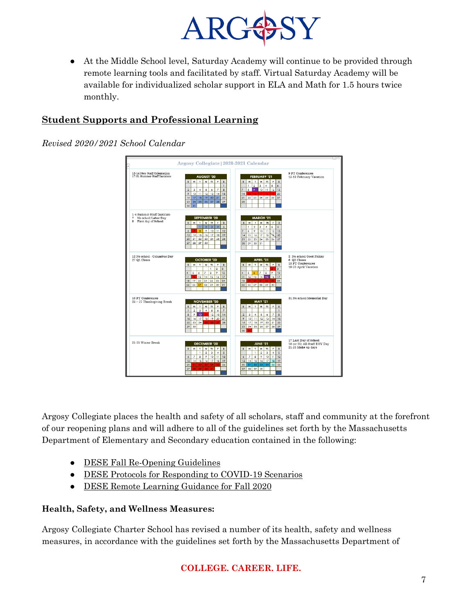

● At the Middle School level, Saturday Academy will continue to be provided through remote learning tools and facilitated by staff. Virtual Saturday Academy will be available for individualized scholar support in ELA and Math for 1.5 hours twice monthly.

# **Student Supports and Professional Learning**

*Revised 2020/2021 School Calendar*



Argosy Collegiate places the health and safety of all scholars, staff and community at the forefront of our reopening plans and will adhere to all of the guidelines set forth by the Massachusetts Department of Elementary and Secondary education contained in the following:

- DESE Fall Re-Opening Guidelines
- DESE Protocols for Responding to COVID-19 Scenarios
- DESE Remote Learning Guidance for Fall 2020

## **Health, Safety, and Wellness Measures:**

Argosy Collegiate Charter School has revised a number of its health, safety and wellness measures, in accordance with the guidelines set forth by the Massachusetts Department of

# **COLLEGE. CAREER. LIFE.**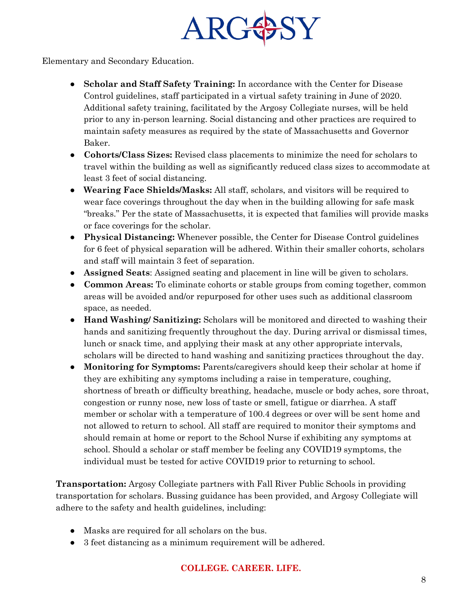

Elementary and Secondary Education.

- **Scholar and Staff Safety Training:** In accordance with the Center for Disease Control guidelines, staff participated in a virtual safety training in June of 2020. Additional safety training, facilitated by the Argosy Collegiate nurses, will be held prior to any in-person learning. Social distancing and other practices are required to maintain safety measures as required by the state of Massachusetts and Governor Baker.
- **Cohorts/Class Sizes:** Revised class placements to minimize the need for scholars to travel within the building as well as significantly reduced class sizes to accommodate at least 3 feet of social distancing.
- **Wearing Face Shields/Masks:** All staff, scholars, and visitors will be required to wear face coverings throughout the day when in the building allowing for safe mask "breaks." Per the state of Massachusetts, it is expected that families will provide masks or face coverings for the scholar.
- **Physical Distancing:** Whenever possible, the Center for Disease Control guidelines for 6 feet of physical separation will be adhered. Within their smaller cohorts, scholars and staff will maintain 3 feet of separation.
- **Assigned Seats**: Assigned seating and placement in line will be given to scholars.
- **Common Areas:** To eliminate cohorts or stable groups from coming together, common areas will be avoided and/or repurposed for other uses such as additional classroom space, as needed.
- **Hand Washing/ Sanitizing:** Scholars will be monitored and directed to washing their hands and sanitizing frequently throughout the day. During arrival or dismissal times, lunch or snack time, and applying their mask at any other appropriate intervals, scholars will be directed to hand washing and sanitizing practices throughout the day.
- **Monitoring for Symptoms:** Parents/caregivers should keep their scholar at home if they are exhibiting any symptoms including a raise in temperature, coughing, shortness of breath or difficulty breathing, headache, muscle or body aches, sore throat, congestion or runny nose, new loss of taste or smell, fatigue or diarrhea. A staff member or scholar with a temperature of 100.4 degrees or over will be sent home and not allowed to return to school. All staff are required to monitor their symptoms and should remain at home or report to the School Nurse if exhibiting any symptoms at school. Should a scholar or staff member be feeling any COVID19 symptoms, the individual must be tested for active COVID19 prior to returning to school.

**Transportation:** Argosy Collegiate partners with Fall River Public Schools in providing transportation for scholars. Bussing guidance has been provided, and Argosy Collegiate will adhere to the safety and health guidelines, including:

- Masks are required for all scholars on the bus.
- 3 feet distancing as a minimum requirement will be adhered.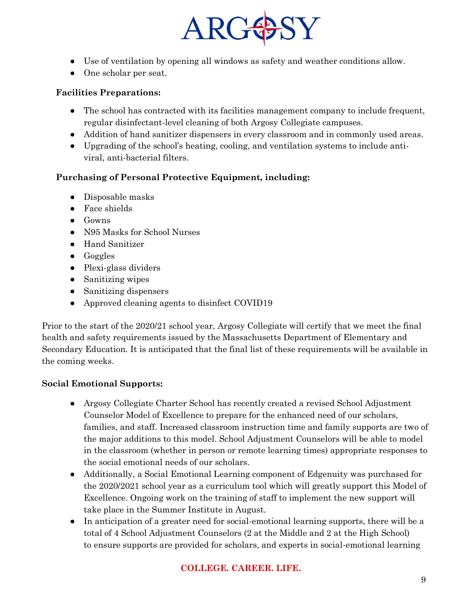

- Use of ventilation by opening all windows as safety and weather conditions allow.
- One scholar per seat.

## **Facilities Preparations:**

- The school has contracted with its facilities management company to include frequent, regular disinfectant-level cleaning of both Argosy Collegiate campuses.
- Addition of hand sanitizer dispensers in every classroom and in commonly used areas.
- Upgrading of the school's heating, cooling, and ventilation systems to include antiviral, anti-bacterial filters.

## **Purchasing of Personal Protective Equipment, including:**

- Disposable masks
- Face shields
- Gowns
- N95 Masks for School Nurses
- Hand Sanitizer
- Goggles
- Plexi-glass dividers
- Sanitizing wipes
- Sanitizing dispensers
- Approved cleaning agents to disinfect COVID19

Prior to the start of the 2020/21 school year, Argosy Collegiate will certify that we meet the final health and safety requirements issued by the Massachusetts Department of Elementary and Secondary Education. It is anticipated that the final list of these requirements will be available in the coming weeks.

## **Social Emotional Supports:**

- Argosy Collegiate Charter School has recently created a revised School Adjustment Counselor Model of Excellence to prepare for the enhanced need of our scholars, families, and staff. Increased classroom instruction time and family supports are two of the major additions to this model. School Adjustment Counselors will be able to model in the classroom (whether in person or remote learning times) appropriate responses to the social emotional needs of our scholars.
- Additionally, a Social Emotional Learning component of Edgenuity was purchased for the 2020/2021 school year as a curriculum tool which will greatly support this Model of Excellence. Ongoing work on the training of staff to implement the new support will take place in the Summer Institute in August.
- In anticipation of a greater need for social-emotional learning supports, there will be a total of 4 School Adjustment Counselors (2 at the Middle and 2 at the High School) to ensure supports are provided for scholars, and experts in social-emotional learning

# **COLLEGE. CAREER. LIFE.**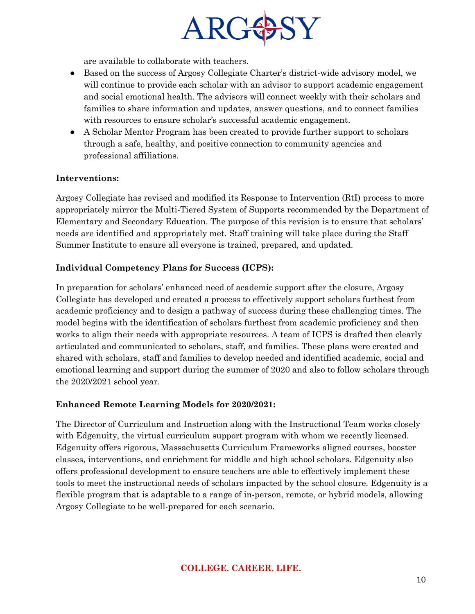

are available to collaborate with teachers.

- Based on the success of Argosy Collegiate Charter's district-wide advisory model, we will continue to provide each scholar with an advisor to support academic engagement and social emotional health. The advisors will connect weekly with their scholars and families to share information and updates, answer questions, and to connect families with resources to ensure scholar's successful academic engagement.
- A Scholar Mentor Program has been created to provide further support to scholars through a safe, healthy, and positive connection to community agencies and professional affiliations.

### **Interventions:**

Argosy Collegiate has revised and modified its Response to Intervention (RtI) process to more appropriately mirror the Multi-Tiered System of Supports recommended by the Department of Elementary and Secondary Education. The purpose of this revision is to ensure that scholars' needs are identified and appropriately met. Staff training will take place during the Staff Summer Institute to ensure all everyone is trained, prepared, and updated.

### **Individual Competency Plans for Success (ICPS):**

In preparation for scholars' enhanced need of academic support after the closure, Argosy Collegiate has developed and created a process to effectively support scholars furthest from academic proficiency and to design a pathway of success during these challenging times. The model begins with the identification of scholars furthest from academic proficiency and then works to align their needs with appropriate resources. A team of ICPS is drafted then clearly articulated and communicated to scholars, staff, and families. These plans were created and shared with scholars, staff and families to develop needed and identified academic, social and emotional learning and support during the summer of 2020 and also to follow scholars through the 2020/2021 school year.

#### **Enhanced Remote Learning Models for 2020/2021:**

The Director of Curriculum and Instruction along with the Instructional Team works closely with Edgenuity, the virtual curriculum support program with whom we recently licensed. Edgenuity offers rigorous, Massachusetts Curriculum Frameworks aligned courses, booster classes, interventions, and enrichment for middle and high school scholars. Edgenuity also offers professional development to ensure teachers are able to effectively implement these tools to meet the instructional needs of scholars impacted by the school closure. Edgenuity is a flexible program that is adaptable to a range of in-person, remote, or hybrid models, allowing Argosy Collegiate to be well-prepared for each scenario.